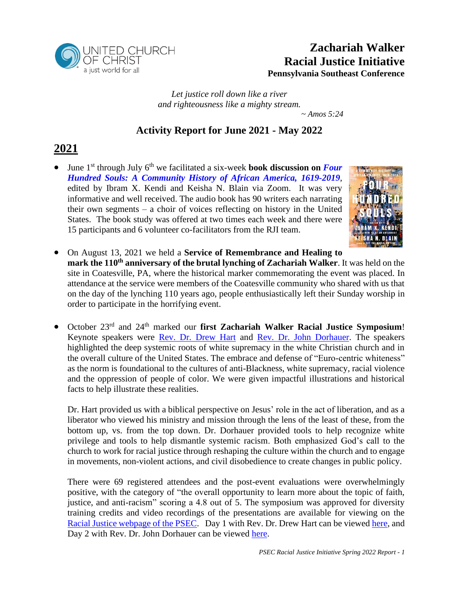

## **Zachariah Walker Racial Justice Initiative Pennsylvania Southeast Conference**

*Let justice roll down like a river and righteousness like a mighty stream. ~ Amos 5:24*

### **Activity Report for June 2021 - May 2022**

## **2021**

• June 1<sup>st</sup> through July 6<sup>th</sup> we facilitated a six-week **book discussion on** *Four [Hundred Souls: A Community History of African America,](https://www.ibramxkendi.com/400-souls) 1619-2019*, edited by Ibram X. Kendi and Keisha N. Blain via Zoom. It was very informative and well received. The audio book has 90 writers each narrating their own segments – a choir of voices reflecting on history in the United States. The book study was offered at two times each week and there were 15 participants and 6 volunteer co-facilitators from the RJI team.



• On August 13, 2021 we held a **Service of Remembrance and Healing to mark the 110th anniversary of the brutal lynching of Zachariah Walker**. It was held on the site in Coatesville, PA, where the historical marker commemorating the event was placed. In attendance at the service were members of the Coatesville community who shared with us that on the day of the lynching 110 years ago, people enthusiastically left their Sunday worship in order to participate in the horrifying event.

• October 23rd and 24th marked our **first Zachariah Walker Racial Justice Symposium**! Keynote speakers were [Rev. Dr. Drew Hart](https://drewgihart.com/) and [Rev. Dr. John Dorhauer.](https://www.ucc.org/wp-content/uploads/2021/11/JCD-Updated-Bio-2.pdf) The speakers highlighted the deep systemic roots of white supremacy in the white Christian church and in the overall culture of the United States. The embrace and defense of "Euro-centric whiteness" as the norm is foundational to the cultures of anti-Blackness, white supremacy, racial violence and the oppression of people of color. We were given impactful illustrations and historical facts to help illustrate these realities.

Dr. Hart provided us with a biblical perspective on Jesus' role in the act of liberation, and as a liberator who viewed his ministry and mission through the lens of the least of these, from the bottom up, vs. from the top down. Dr. Dorhauer provided tools to help recognize white privilege and tools to help dismantle systemic racism. Both emphasized God's call to the church to work for racial justice through reshaping the culture within the church and to engage in movements, non-violent actions, and civil disobedience to create changes in public policy.

There were 69 registered attendees and the post-event evaluations were overwhelmingly positive, with the category of "the overall opportunity to learn more about the topic of faith, justice, and anti-racism" scoring a 4.8 out of 5. The symposium was approved for diversity training credits and video recordings of the presentations are available for viewing on the [Racial Justice webpage of the PSEC.](https://psec.org/missions-ministries/justice-witness/zachariah-walker/) Day 1 with Rev. Dr. Drew Hart can be viewed [here,](https://www.youtube.com/watch?v=EApyUk8ntSc) and Day 2 with Rev. Dr. John Dorhauer can be viewed [here.](https://www.youtube.com/watch?v=XOcSR7MKqmg)